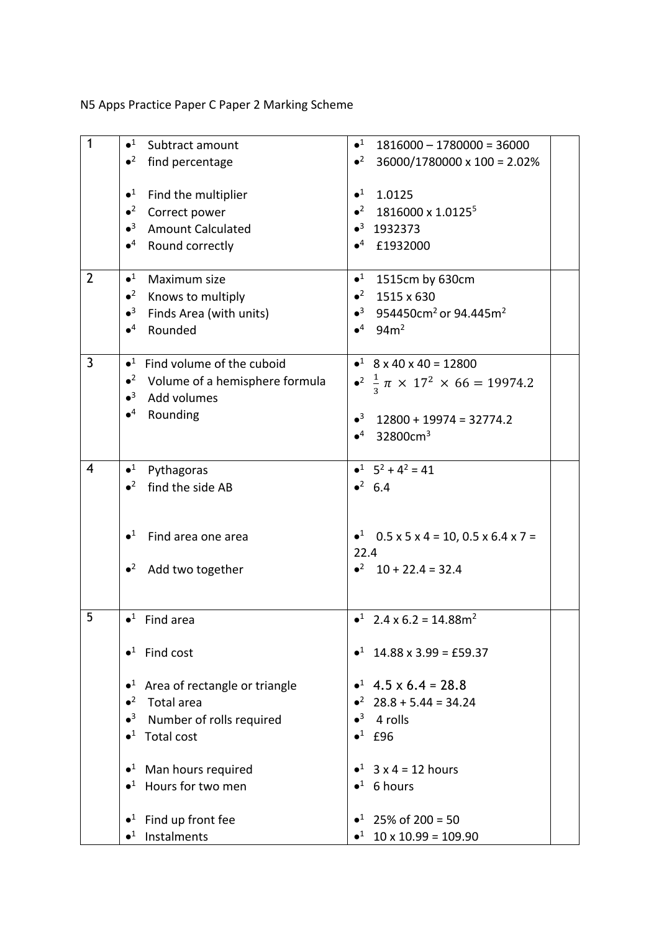N5 Apps Practice Paper C Paper 2 Marking Scheme

| $\mathbf{1}$            | $\bullet^1$<br>Subtract amount                   | $\bullet^1$<br>$1816000 - 1780000 = 36000$                       |
|-------------------------|--------------------------------------------------|------------------------------------------------------------------|
|                         | $\bullet^2$<br>find percentage                   | $\bullet^2$<br>36000/1780000 x 100 = 2.02%                       |
|                         |                                                  |                                                                  |
|                         | $\bullet^1$<br>Find the multiplier               | $\bullet^1$ 1.0125                                               |
|                         | $\bullet^2$<br>Correct power                     | $\bullet^2$ 1816000 x 1.0125 <sup>5</sup>                        |
|                         | $\bullet^3$<br><b>Amount Calculated</b>          | $\bullet^3$ 1932373                                              |
|                         | $\bullet^4$ Round correctly                      | $•4$ £1932000                                                    |
|                         |                                                  |                                                                  |
| $\overline{2}$          | $\bullet^1$<br>Maximum size                      | $•1$ 1515cm by 630cm                                             |
|                         | $\bullet^2$<br>Knows to multiply                 | $•2$ 1515 x 630                                                  |
|                         | $\bullet^3$<br>Finds Area (with units)           | $\bullet^3$ 954450cm <sup>2</sup> or 94.445m <sup>2</sup>        |
|                         | $\bullet^4$<br>Rounded                           | $•4$ 94m <sup>2</sup>                                            |
|                         |                                                  |                                                                  |
| $\overline{3}$          | $\bullet$ <sup>1</sup> Find volume of the cuboid | $\bullet^1$ 8 x 40 x 40 = 12800                                  |
|                         | $\bullet^2$ Volume of a hemisphere formula       | • <sup>2</sup> $\frac{1}{2} \pi \times 17^2 \times 66 = 19974.2$ |
|                         | $\bullet^3$<br>Add volumes                       |                                                                  |
|                         | $\bullet^4$<br>Rounding                          |                                                                  |
|                         |                                                  | $\bullet^3$ 12800 + 19974 = 32774.2                              |
|                         |                                                  | $•4$ 32800cm <sup>3</sup>                                        |
|                         |                                                  |                                                                  |
| $\overline{\mathbf{4}}$ | $\bullet^1$<br>Pythagoras                        | $-1$ $5^2 + 4^2 = 41$                                            |
|                         | find the side AB<br>$\bullet^2$                  | $•^2$ 6.4                                                        |
|                         |                                                  |                                                                  |
|                         |                                                  |                                                                  |
|                         | $\bullet^1$<br>Find area one area                | • $0.5 \times 5 \times 4 = 10, 0.5 \times 6.4 \times 7 =$        |
|                         |                                                  | 22.4                                                             |
|                         | $\bullet^2$<br>Add two together                  | $\bullet^2$ 10 + 22.4 = 32.4                                     |
|                         |                                                  |                                                                  |
|                         |                                                  |                                                                  |
| 5                       | $\bullet^1$ Find area                            | $\bullet^1$ 2.4 x 6.2 = 14.88m <sup>2</sup>                      |
|                         |                                                  |                                                                  |
|                         | $\bullet^1$ Find cost                            | $\bullet^1$ 14.88 x 3.99 = £59.37                                |
|                         |                                                  |                                                                  |
|                         | Area of rectangle or triangle<br>$\bullet^1$     | $\bullet^1$ 4.5 x 6.4 = 28.8                                     |
|                         | $\bullet^2$ Total area                           | $\bullet^2$ 28.8 + 5.44 = 34.24                                  |
|                         | $\bullet^3$<br>Number of rolls required          | $\bullet^3$ 4 rolls                                              |
|                         | $\bullet^1$ Total cost                           | $\bullet^1$ £96                                                  |
|                         | $\bullet$ <sup>1</sup> Man hours required        | • $3 \times 4 = 12$ hours                                        |
|                         | $\bullet^1$ Hours for two men                    | $\bullet^1$ 6 hours                                              |
|                         |                                                  |                                                                  |
|                         | $\bullet^1$ Find up front fee                    | $\bullet^1$ 25% of 200 = 50                                      |
|                         | $\bullet$ <sup>1</sup> Instalments               | $\bullet^1$ 10 x 10.99 = 109.90                                  |
|                         |                                                  |                                                                  |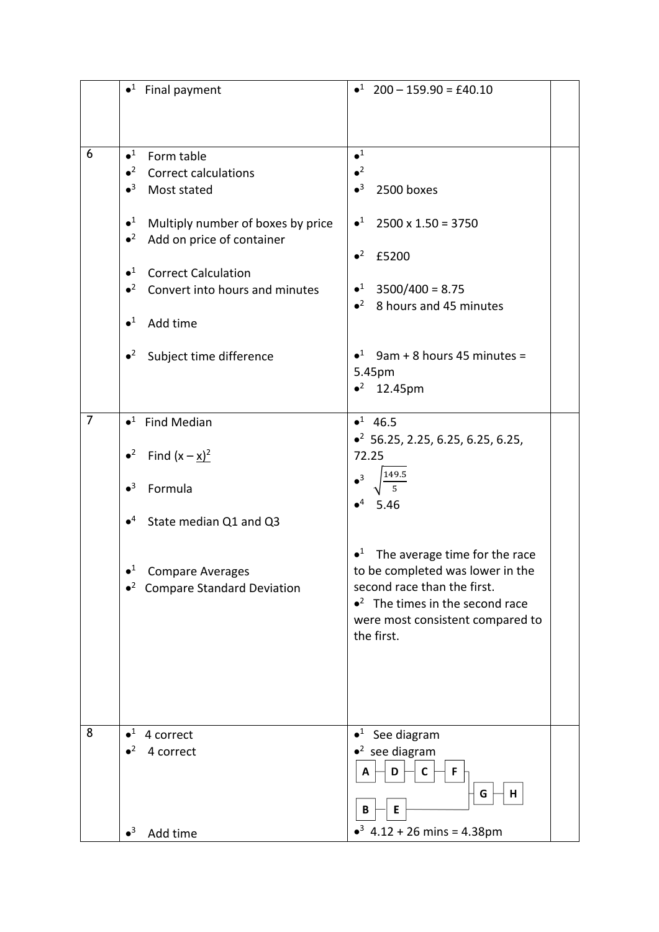|                | $\bullet$ <sup>1</sup> Final payment                                                                                                                                                                                                                                                                                                                                     | $\bullet^1$ 200 - 159.90 = £40.10                                                                                                                                                                                                                                                                                       |
|----------------|--------------------------------------------------------------------------------------------------------------------------------------------------------------------------------------------------------------------------------------------------------------------------------------------------------------------------------------------------------------------------|-------------------------------------------------------------------------------------------------------------------------------------------------------------------------------------------------------------------------------------------------------------------------------------------------------------------------|
| 6              | $\bullet^1$<br>Form table<br>$\bullet^2$<br><b>Correct calculations</b><br>$\bullet^3$<br>Most stated<br>$\bullet^1$<br>Multiply number of boxes by price<br>$\bullet^2$<br>Add on price of container<br>$\bullet^1$<br><b>Correct Calculation</b><br>$\bullet^2$<br>Convert into hours and minutes<br>$\bullet^1$<br>Add time<br>$\bullet^2$<br>Subject time difference | $\bullet^1$<br>$\bullet^2$<br>$\bullet^3$<br>2500 boxes<br>$\bullet^1$ 2500 x 1.50 = 3750<br>$\bullet^2$<br>£5200<br>$\bullet^1$ 3500/400 = 8.75<br>$\bullet^2$ 8 hours and 45 minutes<br>$\bullet^1$ 9am + 8 hours 45 minutes =<br>5.45pm<br>$•2$ 12.45pm                                                              |
| $\overline{7}$ | $\bullet^1$ Find Median<br>• <sup>2</sup> Find $(x - x)^2$<br>$\bullet^3$<br>Formula<br>$\bullet^4$<br>State median Q1 and Q3<br>$\bullet^1$<br><b>Compare Averages</b><br>$\bullet^2$ Compare Standard Deviation                                                                                                                                                        | $•1$ 46.5<br>$\bullet^2$ 56.25, 2.25, 6.25, 6.25, 6.25,<br>72.25<br>$\bullet^3$<br>$\bullet^4$<br>5.46<br>$\bullet^1$<br>The average time for the race<br>to be completed was lower in the<br>second race than the first.<br>$\bullet^2$ The times in the second race<br>were most consistent compared to<br>the first. |
| 8              | $\bullet^1$<br>4 correct<br>$\bullet^2$<br>4 correct<br>$\bullet^3$<br>Add time                                                                                                                                                                                                                                                                                          | $\bullet^1$ See diagram<br>$\bullet^2$ see diagram<br>F<br>D<br>C<br>A<br>G<br>н<br>Ε<br>B<br>$\bullet^3$ 4.12 + 26 mins = 4.38pm                                                                                                                                                                                       |